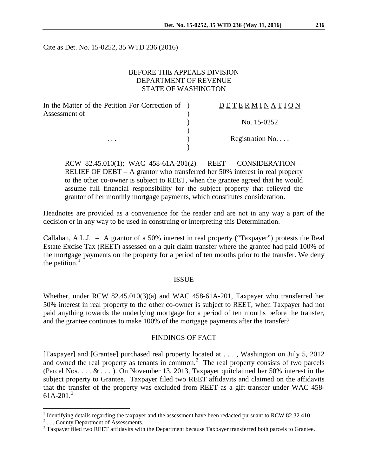Cite as Det. No. 15-0252, 35 WTD 236 (2016)

# BEFORE THE APPEALS DIVISION DEPARTMENT OF REVENUE STATE OF WASHINGTON

| In the Matter of the Petition For Correction of ) | DETERMINATION   |
|---------------------------------------------------|-----------------|
| Assessment of                                     |                 |
|                                                   | No. 15-0252     |
|                                                   |                 |
| $\cdots$                                          | Registration No |
|                                                   |                 |

RCW 82.45.010(1); WAC 458-61A-201(2) – REET – CONSIDERATION – RELIEF OF DEBT – A grantor who transferred her 50% interest in real property to the other co-owner is subject to REET, when the grantee agreed that he would assume full financial responsibility for the subject property that relieved the grantor of her monthly mortgage payments, which constitutes consideration.

Headnotes are provided as a convenience for the reader and are not in any way a part of the decision or in any way to be used in construing or interpreting this Determination.

Callahan, A.L.J. – A grantor of a 50% interest in real property ("Taxpayer") protests the Real Estate Excise Tax (REET) assessed on a quit claim transfer where the grantee had paid 100% of the mortgage payments on the property for a period of ten months prior to the transfer. We deny the petition. $<sup>1</sup>$  $<sup>1</sup>$  $<sup>1</sup>$ </sup>

#### ISSUE

Whether, under RCW 82.45.010(3)(a) and WAC 458-61A-201, Taxpayer who transferred her 50% interest in real property to the other co-owner is subject to REET, when Taxpayer had not paid anything towards the underlying mortgage for a period of ten months before the transfer, and the grantee continues to make 100% of the mortgage payments after the transfer?

### FINDINGS OF FACT

[Taxpayer] and [Grantee] purchased real property located at . . . , Washington on July 5, 2012 and owned the real property as tenants in common.<sup>[2](#page-0-1)</sup> The real property consists of two parcels (Parcel Nos. . . . & . . . ). On November 13, 2013, Taxpayer quitclaimed her 50% interest in the subject property to Grantee. Taxpayer filed two REET affidavits and claimed on the affidavits that the transfer of the property was excluded from REET as a gift transfer under WAC 458-  $61A-201<sup>3</sup>$  $61A-201<sup>3</sup>$  $61A-201<sup>3</sup>$ 

<span id="page-0-1"></span><span id="page-0-0"></span><sup>&</sup>lt;sup>1</sup> Identifying details regarding the taxpayer and the assessment have been redacted pursuant to RCW 82.32.410.<br><sup>2</sup> ... County Department of Assessments.<br><sup>3</sup> Taxpayer filed two REET affidavits with the Department because

<span id="page-0-2"></span>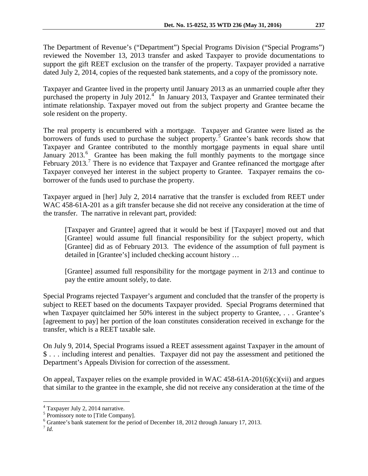The Department of Revenue's ("Department") Special Programs Division ("Special Programs") reviewed the November 13, 2013 transfer and asked Taxpayer to provide documentations to support the gift REET exclusion on the transfer of the property. Taxpayer provided a narrative dated July 2, 2014, copies of the requested bank statements, and a copy of the promissory note.

Taxpayer and Grantee lived in the property until January 2013 as an unmarried couple after they purchased the property in July 2012.<sup>[4](#page-1-0)</sup> In January 2013, Taxpayer and Grantee terminated their intimate relationship. Taxpayer moved out from the subject property and Grantee became the sole resident on the property.

The real property is encumbered with a mortgage. Taxpayer and Grantee were listed as the borrowers of funds used to purchase the subject property.<sup>[5](#page-1-1)</sup> Grantee's bank records show that Taxpayer and Grantee contributed to the monthly mortgage payments in equal share until January 2013.<sup>[6](#page-1-2)</sup> Grantee has been making the full monthly payments to the mortgage since February 2013.<sup>[7](#page-1-3)</sup> There is no evidence that Taxpayer and Grantee refinanced the mortgage after Taxpayer conveyed her interest in the subject property to Grantee. Taxpayer remains the coborrower of the funds used to purchase the property.

Taxpayer argued in [her] July 2, 2014 narrative that the transfer is excluded from REET under WAC 458-61A-201 as a gift transfer because she did not receive any consideration at the time of the transfer. The narrative in relevant part, provided:

[Taxpayer and Grantee] agreed that it would be best if [Taxpayer] moved out and that [Grantee] would assume full financial responsibility for the subject property, which [Grantee] did as of February 2013. The evidence of the assumption of full payment is detailed in [Grantee's] included checking account history …

[Grantee] assumed full responsibility for the mortgage payment in 2/13 and continue to pay the entire amount solely, to date.

Special Programs rejected Taxpayer's argument and concluded that the transfer of the property is subject to REET based on the documents Taxpayer provided. Special Programs determined that when Taxpayer quitclaimed her 50% interest in the subject property to Grantee, . . . Grantee's [agreement to pay] her portion of the loan constitutes consideration received in exchange for the transfer, which is a REET taxable sale.

On July 9, 2014, Special Programs issued a REET assessment against Taxpayer in the amount of \$ . . . including interest and penalties. Taxpayer did not pay the assessment and petitioned the Department's Appeals Division for correction of the assessment.

On appeal, Taxpayer relies on the example provided in WAC 458-61A-201(6)(c)(vii) and argues that similar to the grantee in the example, she did not receive any consideration at the time of the

<span id="page-1-0"></span> $^4$  Taxpayer July 2, 2014 narrative.<br> $^5$  Promissory note to [Title Company].

<span id="page-1-2"></span><span id="page-1-1"></span> $<sup>6</sup>$  Grantee's bank statement for the period of December 18, 2012 through January 17, 2013.</sup>

<span id="page-1-3"></span><sup>7</sup> *Id.*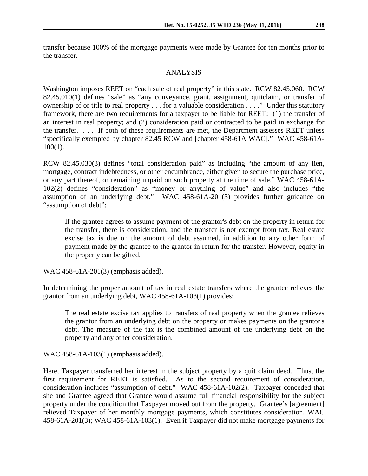transfer because 100% of the mortgage payments were made by Grantee for ten months prior to the transfer.

# ANALYSIS

Washington imposes REET on "each sale of real property" in this state. RCW 82.45.060. RCW 82.45.010(1) defines "sale" as "any conveyance, grant, assignment, quitclaim, or transfer of ownership of or title to real property . . . for a valuable consideration . . . ." Under this statutory framework, there are two requirements for a taxpayer to be liable for REET: (1) the transfer of an interest in real property; and (2) consideration paid or contracted to be paid in exchange for the transfer. . . . If both of these requirements are met, the Department assesses REET unless "specifically exempted by chapter 82.45 RCW and [chapter 458-61A WAC]." WAC 458-61A-100(1).

RCW 82.45.030(3) defines "total consideration paid" as including "the amount of any lien, mortgage, contract indebtedness, or other encumbrance, either given to secure the purchase price, or any part thereof, or remaining unpaid on such property at the time of sale." WAC 458-61A-102(2) defines "consideration" as "money or anything of value" and also includes "the assumption of an underlying debt." WAC 458-61A-201(3) provides further guidance on "assumption of debt":

If the grantee agrees to assume payment of the grantor's debt on the property in return for the transfer, there is consideration, and the transfer is not exempt from tax. Real estate excise tax is due on the amount of debt assumed, in addition to any other form of payment made by the grantee to the grantor in return for the transfer. However, equity in the property can be gifted.

WAC 458-61A-201(3) (emphasis added).

In determining the proper amount of tax in real estate transfers where the grantee relieves the grantor from an underlying debt, WAC 458-61A-103(1) provides:

The real estate excise tax applies to transfers of real property when the grantee relieves the grantor from an underlying debt on the property or makes payments on the grantor's debt. The measure of the tax is the combined amount of the underlying debt on the property and any other consideration.

WAC 458-61A-103(1) (emphasis added).

Here, Taxpayer transferred her interest in the subject property by a quit claim deed. Thus, the first requirement for REET is satisfied. As to the second requirement of consideration, consideration includes "assumption of debt." WAC 458-61A-102(2). Taxpayer conceded that she and Grantee agreed that Grantee would assume full financial responsibility for the subject property under the condition that Taxpayer moved out from the property. Grantee's [agreement] relieved Taxpayer of her monthly mortgage payments, which constitutes consideration. WAC 458-61A-201(3); WAC 458-61A-103(1). Even if Taxpayer did not make mortgage payments for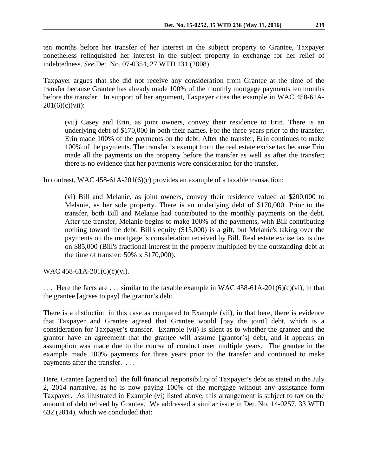ten months before her transfer of her interest in the subject property to Grantee, Taxpayer nonetheless relinquished her interest in the subject property in exchange for her relief of indebtedness. *See* Det. No. 07-0354, 27 WTD 131 (2008).

Taxpayer argues that she did not receive any consideration from Grantee at the time of the transfer because Grantee has already made 100% of the monthly mortgage payments ten months before the transfer. In support of her argument, Taxpayer cites the example in WAC 458-61A- $201(6)(c)(vii)$ :

(vii) Casey and Erin, as joint owners, convey their residence to Erin. There is an underlying debt of \$170,000 in both their names. For the three years prior to the transfer, Erin made 100% of the payments on the debt. After the transfer, Erin continues to make 100% of the payments. The transfer is exempt from the real estate excise tax because Erin made all the payments on the property before the transfer as well as after the transfer; there is no evidence that her payments were consideration for the transfer.

In contrast, WAC 458-61A-201(6)(c) provides an example of a taxable transaction:

(vi) Bill and Melanie, as joint owners, convey their residence valued at \$200,000 to Melanie, as her sole property. There is an underlying debt of \$170,000. Prior to the transfer, both Bill and Melanie had contributed to the monthly payments on the debt. After the transfer, Melanie begins to make 100% of the payments, with Bill contributing nothing toward the debt. Bill's equity (\$15,000) is a gift, but Melanie's taking over the payments on the mortgage is consideration received by Bill. Real estate excise tax is due on \$85,000 (Bill's fractional interest in the property multiplied by the outstanding debt at the time of transfer: 50% x \$170,000).

WAC 458-61A-201(6)(c)(vi).

 $\ldots$  Here the facts are  $\ldots$  similar to the taxable example in WAC 458-61A-201(6)(c)(vi), in that the grantee [agrees to pay] the grantor's debt.

There is a distinction in this case as compared to Example (vii), in that here, there is evidence that Taxpayer and Grantee agreed that Grantee would [pay the joint] debt, which is a consideration for Taxpayer's transfer. Example (vii) is silent as to whether the grantee and the grantor have an agreement that the grantee will assume [grantor's] debt, and it appears an assumption was made due to the course of conduct over multiple years. The grantee in the example made 100% payments for three years prior to the transfer and continued to make payments after the transfer. . . .

Here, Grantee [agreed to] the full financial responsibility of Taxpayer's debt as stated in the July 2, 2014 narrative, as he is now paying 100% of the mortgage without any assistance form Taxpayer. As illustrated in Example (vi) listed above, this arrangement is subject to tax on the amount of debt relived by Grantee. We addressed a similar issue in Det. No. 14-0257, 33 WTD 632 (2014), which we concluded that: